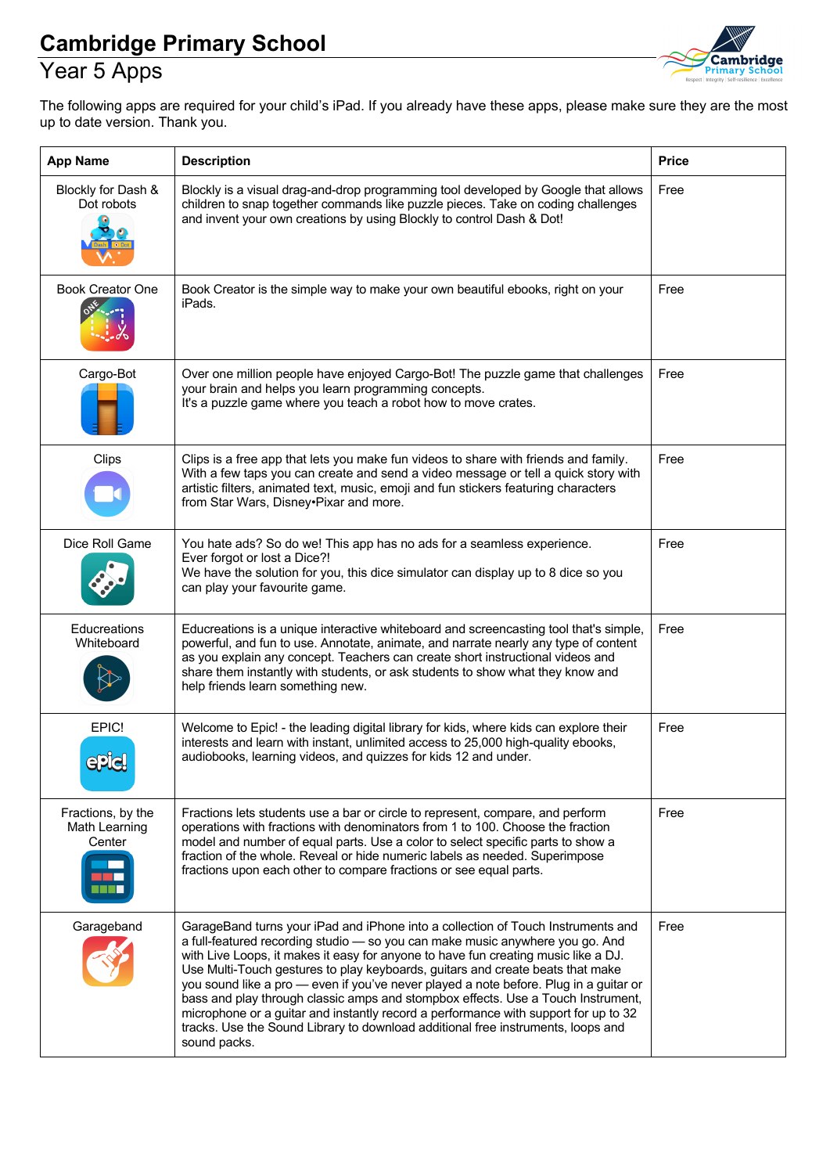#### Year 5 Apps



The following apps are required for your child's iPad. If you already have these apps, please make sure they are the most up to date version. Thank you.

| <b>App Name</b>                              | <b>Description</b>                                                                                                                                                                                                                                                                                                                                                                                                                                                                                                                                                                                                                                                                                                | <b>Price</b> |
|----------------------------------------------|-------------------------------------------------------------------------------------------------------------------------------------------------------------------------------------------------------------------------------------------------------------------------------------------------------------------------------------------------------------------------------------------------------------------------------------------------------------------------------------------------------------------------------------------------------------------------------------------------------------------------------------------------------------------------------------------------------------------|--------------|
| Blockly for Dash &<br>Dot robots             | Blockly is a visual drag-and-drop programming tool developed by Google that allows<br>children to snap together commands like puzzle pieces. Take on coding challenges<br>and invent your own creations by using Blockly to control Dash & Dot!                                                                                                                                                                                                                                                                                                                                                                                                                                                                   | Free         |
| <b>Book Creator One</b>                      | Book Creator is the simple way to make your own beautiful ebooks, right on your<br>iPads.                                                                                                                                                                                                                                                                                                                                                                                                                                                                                                                                                                                                                         | Free         |
| Cargo-Bot                                    | Over one million people have enjoyed Cargo-Bot! The puzzle game that challenges<br>your brain and helps you learn programming concepts.<br>It's a puzzle game where you teach a robot how to move crates.                                                                                                                                                                                                                                                                                                                                                                                                                                                                                                         | Free         |
| Clips                                        | Clips is a free app that lets you make fun videos to share with friends and family.<br>With a few taps you can create and send a video message or tell a quick story with<br>artistic filters, animated text, music, emoji and fun stickers featuring characters<br>from Star Wars, Disney•Pixar and more.                                                                                                                                                                                                                                                                                                                                                                                                        | Free         |
| Dice Roll Game                               | You hate ads? So do we! This app has no ads for a seamless experience.<br>Ever forgot or lost a Dice?!<br>We have the solution for you, this dice simulator can display up to 8 dice so you<br>can play your favourite game.                                                                                                                                                                                                                                                                                                                                                                                                                                                                                      | Free         |
| Educreations<br>Whiteboard                   | Educreations is a unique interactive whiteboard and screencasting tool that's simple,<br>powerful, and fun to use. Annotate, animate, and narrate nearly any type of content<br>as you explain any concept. Teachers can create short instructional videos and<br>share them instantly with students, or ask students to show what they know and<br>help friends learn something new.                                                                                                                                                                                                                                                                                                                             | Free         |
| EPIC!<br><b>ePiel</b>                        | Welcome to Epic! - the leading digital library for kids, where kids can explore their<br>interests and learn with instant, unlimited access to 25,000 high-quality ebooks,<br>audiobooks, learning videos, and quizzes for kids 12 and under.                                                                                                                                                                                                                                                                                                                                                                                                                                                                     | Free         |
| Fractions, by the<br>Math Learning<br>Center | Fractions lets students use a bar or circle to represent, compare, and perform<br>operations with fractions with denominators from 1 to 100. Choose the fraction<br>model and number of equal parts. Use a color to select specific parts to show a<br>fraction of the whole. Reveal or hide numeric labels as needed. Superimpose<br>fractions upon each other to compare fractions or see equal parts.                                                                                                                                                                                                                                                                                                          | Free         |
| Garageband                                   | GarageBand turns your iPad and iPhone into a collection of Touch Instruments and<br>a full-featured recording studio - so you can make music anywhere you go. And<br>with Live Loops, it makes it easy for anyone to have fun creating music like a DJ.<br>Use Multi-Touch gestures to play keyboards, guitars and create beats that make<br>you sound like a pro - even if you've never played a note before. Plug in a guitar or<br>bass and play through classic amps and stompbox effects. Use a Touch Instrument,<br>microphone or a guitar and instantly record a performance with support for up to 32<br>tracks. Use the Sound Library to download additional free instruments, loops and<br>sound packs. | Free         |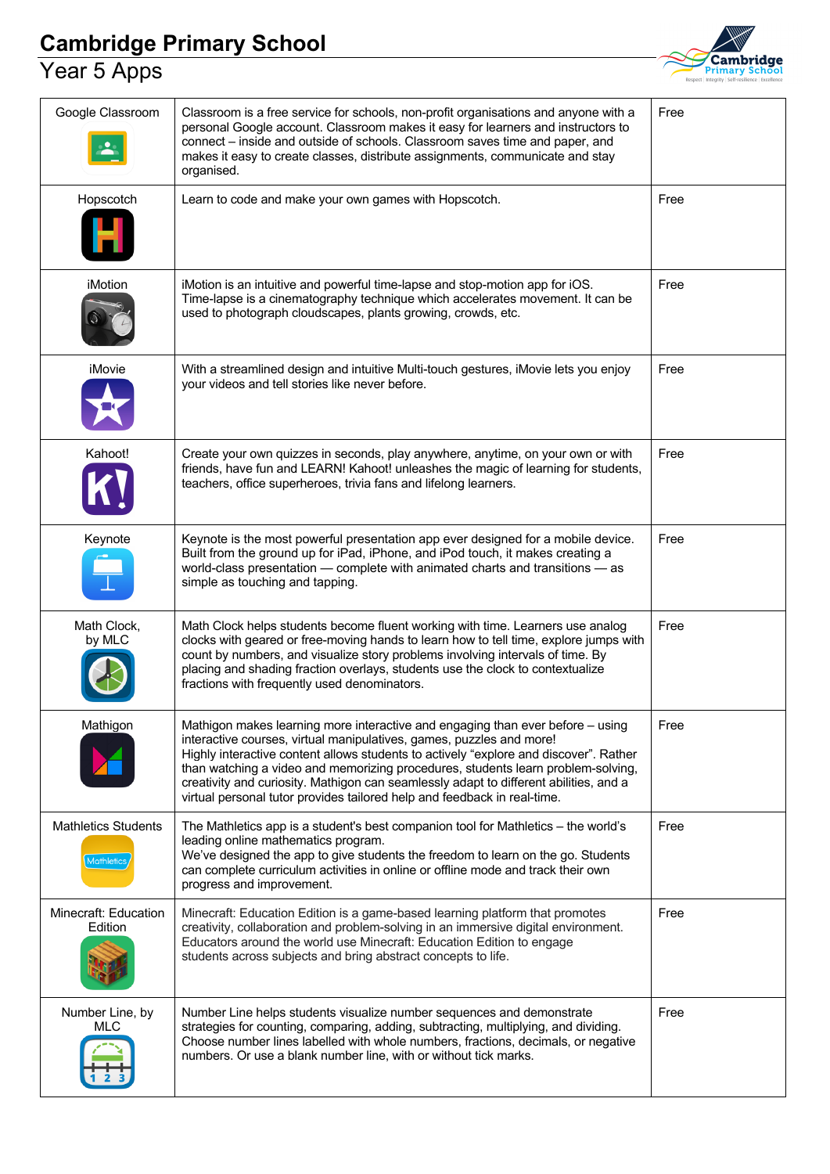#### Year 5 Apps



| Google Classroom                                | Classroom is a free service for schools, non-profit organisations and anyone with a<br>personal Google account. Classroom makes it easy for learners and instructors to<br>connect - inside and outside of schools. Classroom saves time and paper, and<br>makes it easy to create classes, distribute assignments, communicate and stay<br>organised.                                                                                                                                                   | Free |
|-------------------------------------------------|----------------------------------------------------------------------------------------------------------------------------------------------------------------------------------------------------------------------------------------------------------------------------------------------------------------------------------------------------------------------------------------------------------------------------------------------------------------------------------------------------------|------|
| Hopscotch                                       | Learn to code and make your own games with Hopscotch.                                                                                                                                                                                                                                                                                                                                                                                                                                                    | Free |
| iMotion                                         | iMotion is an intuitive and powerful time-lapse and stop-motion app for iOS.<br>Time-lapse is a cinematography technique which accelerates movement. It can be<br>used to photograph cloudscapes, plants growing, crowds, etc.                                                                                                                                                                                                                                                                           | Free |
| iMovie                                          | With a streamlined design and intuitive Multi-touch gestures, iMovie lets you enjoy<br>your videos and tell stories like never before.                                                                                                                                                                                                                                                                                                                                                                   | Free |
| Kahoot!                                         | Create your own quizzes in seconds, play anywhere, anytime, on your own or with<br>friends, have fun and LEARN! Kahoot! unleashes the magic of learning for students,<br>teachers, office superheroes, trivia fans and lifelong learners.                                                                                                                                                                                                                                                                | Free |
| Keynote                                         | Keynote is the most powerful presentation app ever designed for a mobile device.<br>Built from the ground up for iPad, iPhone, and iPod touch, it makes creating a<br>world-class presentation - complete with animated charts and transitions - as<br>simple as touching and tapping.                                                                                                                                                                                                                   | Free |
| Math Clock,<br>by MLC                           | Math Clock helps students become fluent working with time. Learners use analog<br>clocks with geared or free-moving hands to learn how to tell time, explore jumps with<br>count by numbers, and visualize story problems involving intervals of time. By<br>placing and shading fraction overlays, students use the clock to contextualize<br>fractions with frequently used denominators.                                                                                                              | Free |
| Mathigon                                        | Mathigon makes learning more interactive and engaging than ever before - using<br>interactive courses, virtual manipulatives, games, puzzles and more!<br>Highly interactive content allows students to actively "explore and discover". Rather<br>than watching a video and memorizing procedures, students learn problem-solving,<br>creativity and curiosity. Mathigon can seamlessly adapt to different abilities, and a<br>virtual personal tutor provides tailored help and feedback in real-time. | Free |
| <b>Mathletics Students</b><br><b>Mathletics</b> | The Mathletics app is a student's best companion tool for Mathletics - the world's<br>leading online mathematics program.<br>We've designed the app to give students the freedom to learn on the go. Students<br>can complete curriculum activities in online or offline mode and track their own<br>progress and improvement.                                                                                                                                                                           | Free |
| Minecraft: Education<br>Edition                 | Minecraft: Education Edition is a game-based learning platform that promotes<br>creativity, collaboration and problem-solving in an immersive digital environment.<br>Educators around the world use Minecraft: Education Edition to engage<br>students across subjects and bring abstract concepts to life.                                                                                                                                                                                             | Free |
| Number Line, by<br>MLC                          | Number Line helps students visualize number sequences and demonstrate<br>strategies for counting, comparing, adding, subtracting, multiplying, and dividing.<br>Choose number lines labelled with whole numbers, fractions, decimals, or negative<br>numbers. Or use a blank number line, with or without tick marks.                                                                                                                                                                                    | Free |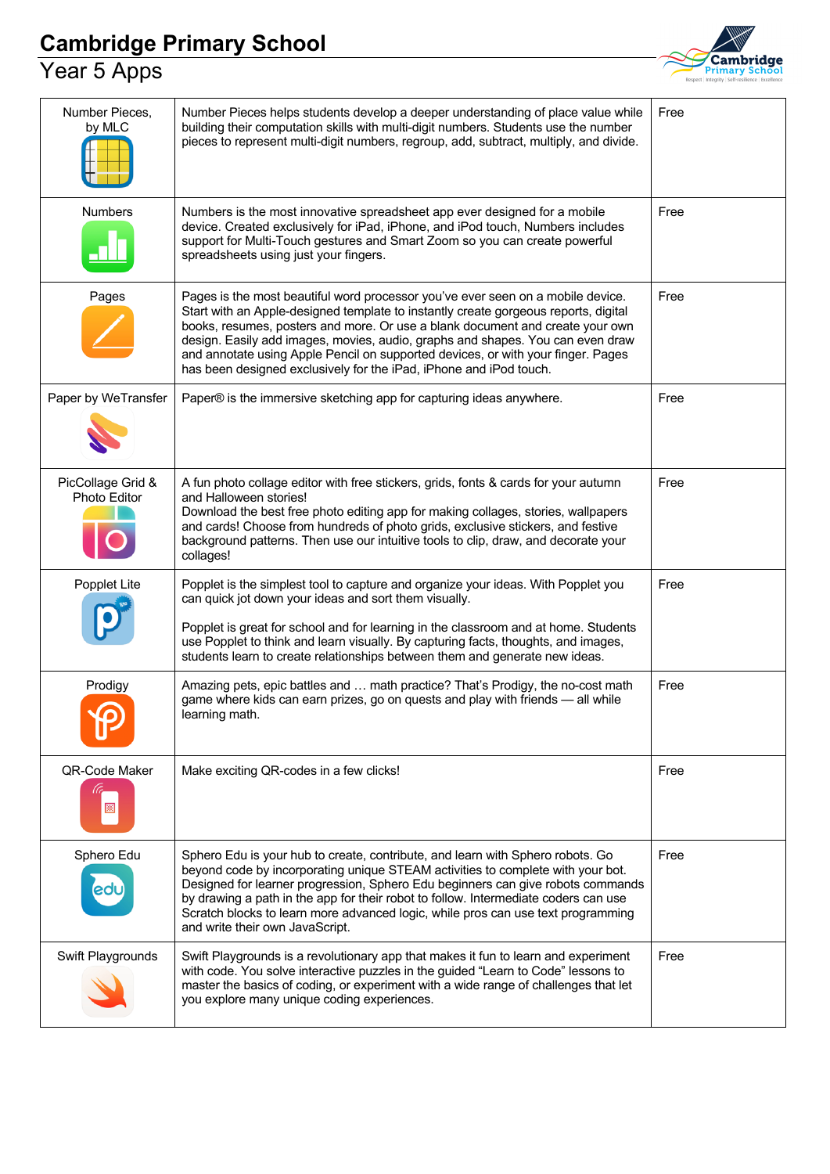#### Year 5 Apps



| Number Pieces,<br>by MLC          | Number Pieces helps students develop a deeper understanding of place value while<br>building their computation skills with multi-digit numbers. Students use the number<br>pieces to represent multi-digit numbers, regroup, add, subtract, multiply, and divide.                                                                                                                                                                                                                                   | Free |
|-----------------------------------|-----------------------------------------------------------------------------------------------------------------------------------------------------------------------------------------------------------------------------------------------------------------------------------------------------------------------------------------------------------------------------------------------------------------------------------------------------------------------------------------------------|------|
| Numbers                           | Numbers is the most innovative spreadsheet app ever designed for a mobile<br>device. Created exclusively for iPad, iPhone, and iPod touch, Numbers includes<br>support for Multi-Touch gestures and Smart Zoom so you can create powerful<br>spreadsheets using just your fingers.                                                                                                                                                                                                                  | Free |
| Pages                             | Pages is the most beautiful word processor you've ever seen on a mobile device.<br>Start with an Apple-designed template to instantly create gorgeous reports, digital<br>books, resumes, posters and more. Or use a blank document and create your own<br>design. Easily add images, movies, audio, graphs and shapes. You can even draw<br>and annotate using Apple Pencil on supported devices, or with your finger. Pages<br>has been designed exclusively for the iPad, iPhone and iPod touch. | Free |
| Paper by WeTransfer               | Paper® is the immersive sketching app for capturing ideas anywhere.                                                                                                                                                                                                                                                                                                                                                                                                                                 | Free |
| PicCollage Grid &<br>Photo Editor | A fun photo collage editor with free stickers, grids, fonts & cards for your autumn<br>and Halloween stories!<br>Download the best free photo editing app for making collages, stories, wallpapers<br>and cards! Choose from hundreds of photo grids, exclusive stickers, and festive<br>background patterns. Then use our intuitive tools to clip, draw, and decorate your<br>collages!                                                                                                            | Free |
| Popplet Lite                      | Popplet is the simplest tool to capture and organize your ideas. With Popplet you<br>can quick jot down your ideas and sort them visually.<br>Popplet is great for school and for learning in the classroom and at home. Students<br>use Popplet to think and learn visually. By capturing facts, thoughts, and images,<br>students learn to create relationships between them and generate new ideas.                                                                                              | Free |
| Prodigy<br>$\Omega$               | Amazing pets, epic battles and  math practice? That's Prodigy, the no-cost math<br>game where kids can earn prizes, go on quests and play with friends - all while<br>learning math.                                                                                                                                                                                                                                                                                                                | Free |
| QR-Code Maker<br>圝                | Make exciting QR-codes in a few clicks!                                                                                                                                                                                                                                                                                                                                                                                                                                                             | Free |
| Sphero Edu<br>20                  | Sphero Edu is your hub to create, contribute, and learn with Sphero robots. Go<br>beyond code by incorporating unique STEAM activities to complete with your bot.<br>Designed for learner progression, Sphero Edu beginners can give robots commands<br>by drawing a path in the app for their robot to follow. Intermediate coders can use<br>Scratch blocks to learn more advanced logic, while pros can use text programming<br>and write their own JavaScript.                                  | Free |
| Swift Playgrounds                 | Swift Playgrounds is a revolutionary app that makes it fun to learn and experiment<br>with code. You solve interactive puzzles in the guided "Learn to Code" lessons to<br>master the basics of coding, or experiment with a wide range of challenges that let<br>you explore many unique coding experiences.                                                                                                                                                                                       | Free |